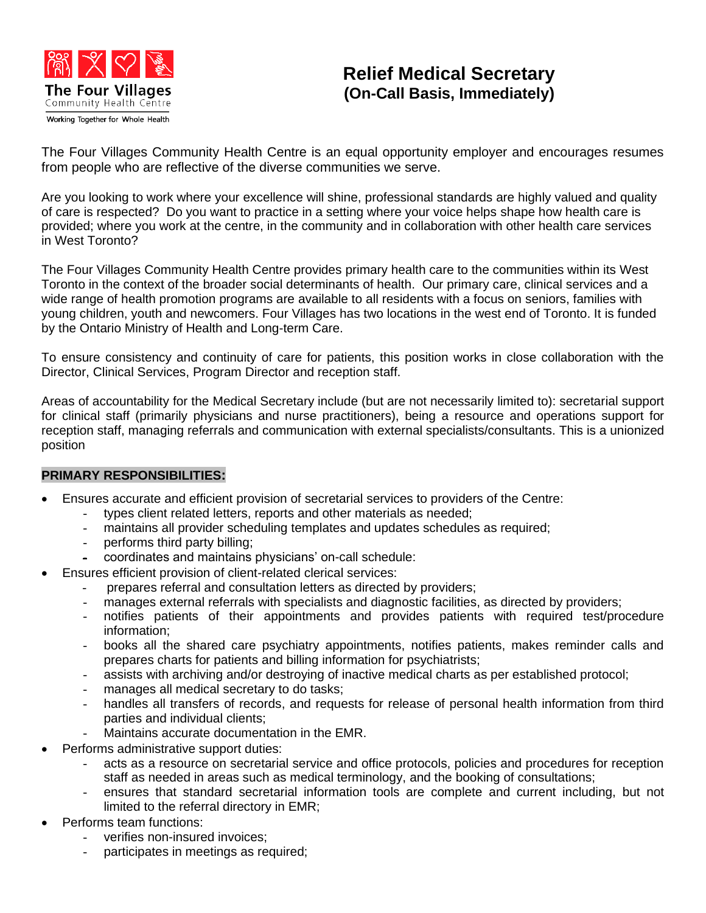

## **Relief Medical Secretary (On-Call Basis, Immediately)**

The Four Villages Community Health Centre is an equal opportunity employer and encourages resumes from people who are reflective of the diverse communities we serve.

Are you looking to work where your excellence will shine, professional standards are highly valued and quality of care is respected? Do you want to practice in a setting where your voice helps shape how health care is provided; where you work at the centre, in the community and in collaboration with other health care services in West Toronto?

The Four Villages Community Health Centre provides primary health care to the communities within its West Toronto in the context of the broader social determinants of health. Our primary care, clinical services and a wide range of health promotion programs are available to all residents with a focus on seniors, families with young children, youth and newcomers. Four Villages has two locations in the west end of Toronto. It is funded by the Ontario Ministry of Health and Long-term Care.

To ensure consistency and continuity of care for patients, this position works in close collaboration with the Director, Clinical Services, Program Director and reception staff.

Areas of accountability for the Medical Secretary include (but are not necessarily limited to): secretarial support for clinical staff (primarily physicians and nurse practitioners), being a resource and operations support for reception staff, managing referrals and communication with external specialists/consultants. This is a unionized position

## **PRIMARY RESPONSIBILITIES:**

- Ensures accurate and efficient provision of secretarial services to providers of the Centre:
	- types client related letters, reports and other materials as needed;
	- maintains all provider scheduling templates and updates schedules as required;
	- performs third party billing;
	- coordinates and maintains physicians' on-call schedule:
- Ensures efficient provision of client-related clerical services:
	- prepares referral and consultation letters as directed by providers;
	- manages external referrals with specialists and diagnostic facilities, as directed by providers;
	- notifies patients of their appointments and provides patients with required test/procedure information;
	- books all the shared care psychiatry appointments, notifies patients, makes reminder calls and prepares charts for patients and billing information for psychiatrists;
	- assists with archiving and/or destroying of inactive medical charts as per established protocol;
	- manages all medical secretary to do tasks;
	- handles all transfers of records, and requests for release of personal health information from third parties and individual clients;
	- Maintains accurate documentation in the EMR.
- Performs administrative support duties:
	- acts as a resource on secretarial service and office protocols, policies and procedures for reception staff as needed in areas such as medical terminology, and the booking of consultations;
	- ensures that standard secretarial information tools are complete and current including, but not limited to the referral directory in EMR;
- Performs team functions:
	- verifies non-insured invoices:
	- participates in meetings as required;